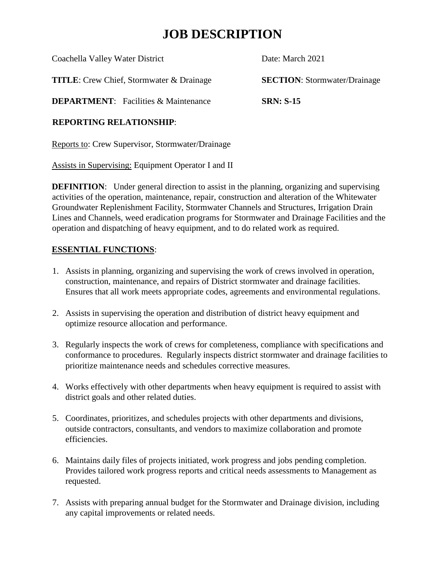### **JOB DESCRIPTION**

| Coachella Valley Water District                 | Date: March 2021                    |
|-------------------------------------------------|-------------------------------------|
| <b>TITLE:</b> Crew Chief, Stormwater & Drainage | <b>SECTION:</b> Stormwater/Drainage |
| <b>DEPARTMENT:</b> Facilities & Maintenance     | <b>SRN: S-15</b>                    |
| <b>DEDADTINA DEL ATIANAID.</b>                  |                                     |

#### **REPORTING RELATIONSHIP**:

Reports to: Crew Supervisor, Stormwater/Drainage

Assists in Supervising: Equipment Operator I and II

**DEFINITION:** Under general direction to assist in the planning, organizing and supervising activities of the operation, maintenance, repair, construction and alteration of the Whitewater Groundwater Replenishment Facility, Stormwater Channels and Structures, Irrigation Drain Lines and Channels, weed eradication programs for Stormwater and Drainage Facilities and the operation and dispatching of heavy equipment, and to do related work as required.

#### **ESSENTIAL FUNCTIONS**:

- 1. Assists in planning, organizing and supervising the work of crews involved in operation, construction, maintenance, and repairs of District stormwater and drainage facilities. Ensures that all work meets appropriate codes, agreements and environmental regulations.
- 2. Assists in supervising the operation and distribution of district heavy equipment and optimize resource allocation and performance.
- 3. Regularly inspects the work of crews for completeness, compliance with specifications and conformance to procedures. Regularly inspects district stormwater and drainage facilities to prioritize maintenance needs and schedules corrective measures.
- 4. Works effectively with other departments when heavy equipment is required to assist with district goals and other related duties.
- 5. Coordinates, prioritizes, and schedules projects with other departments and divisions, outside contractors, consultants, and vendors to maximize collaboration and promote efficiencies.
- 6. Maintains daily files of projects initiated, work progress and jobs pending completion. Provides tailored work progress reports and critical needs assessments to Management as requested.
- 7. Assists with preparing annual budget for the Stormwater and Drainage division, including any capital improvements or related needs.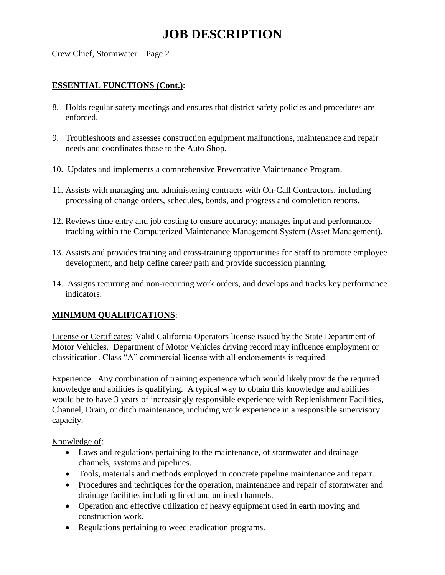## **JOB DESCRIPTION**

Crew Chief, Stormwater – Page 2

#### **ESSENTIAL FUNCTIONS (Cont.)**:

- 8. Holds regular safety meetings and ensures that district safety policies and procedures are enforced.
- 9. Troubleshoots and assesses construction equipment malfunctions, maintenance and repair needs and coordinates those to the Auto Shop.
- 10. Updates and implements a comprehensive Preventative Maintenance Program.
- 11. Assists with managing and administering contracts with On-Call Contractors, including processing of change orders, schedules, bonds, and progress and completion reports.
- 12. Reviews time entry and job costing to ensure accuracy; manages input and performance tracking within the Computerized Maintenance Management System (Asset Management).
- 13. Assists and provides training and cross-training opportunities for Staff to promote employee development, and help define career path and provide succession planning.
- 14. Assigns recurring and non-recurring work orders, and develops and tracks key performance indicators.

#### **MINIMUM QUALIFICATIONS**:

License or Certificates: Valid California Operators license issued by the State Department of Motor Vehicles. Department of Motor Vehicles driving record may influence employment or classification. Class "A" commercial license with all endorsements is required.

Experience: Any combination of training experience which would likely provide the required knowledge and abilities is qualifying. A typical way to obtain this knowledge and abilities would be to have 3 years of increasingly responsible experience with Replenishment Facilities, Channel, Drain, or ditch maintenance, including work experience in a responsible supervisory capacity.

Knowledge of:

- Laws and regulations pertaining to the maintenance, of stormwater and drainage channels, systems and pipelines.
- Tools, materials and methods employed in concrete pipeline maintenance and repair.
- Procedures and techniques for the operation, maintenance and repair of stormwater and drainage facilities including lined and unlined channels.
- Operation and effective utilization of heavy equipment used in earth moving and construction work.
- Regulations pertaining to weed eradication programs.